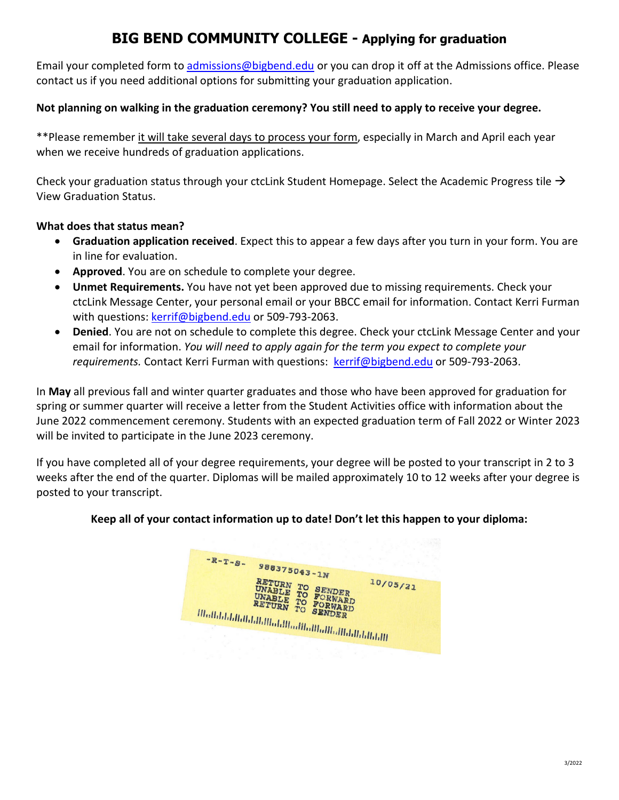# **BIG BEND COMMUNITY COLLEGE - Applying for graduation**

Email your completed form to [admissions@bigbend.edu](mailto:admissions@bigbend.edu) or you can drop it off at the Admissions office. Please contact us if you need additional options for submitting your graduation application.

#### **Not planning on walking in the graduation ceremony? You still need to apply to receive your degree.**

\*\*Please remember it will take several days to process your form, especially in March and April each year when we receive hundreds of graduation applications.

Check your graduation status through your ctcLink Student Homepage. Select the Academic Progress tile  $\rightarrow$ View Graduation Status.

#### **What does that status mean?**

- **Graduation application received**. Expect this to appear a few days after you turn in your form. You are in line for evaluation.
- **Approved**. You are on schedule to complete your degree.
- **Unmet Requirements.** You have not yet been approved due to missing requirements. Check your ctcLink Message Center, your personal email or your BBCC email for information. Contact Kerri Furman with questions[: kerrif@bigbend.edu](mailto:kerrif@bigbend.edu) or 509-793-2063.
- **Denied**. You are not on schedule to complete this degree. Check your ctcLink Message Center and your email for information. *You will need to apply again for the term you expect to complete your requirements.* Contact Kerri Furman with questions: [kerrif@bigbend.edu](mailto:kerrif@bigbend.edu) or 509-793-2063.

In **May** all previous fall and winter quarter graduates and those who have been approved for graduation for spring or summer quarter will receive a letter from the Student Activities office with information about the June 2022 commencement ceremony. Students with an expected graduation term of Fall 2022 or Winter 2023 will be invited to participate in the June 2023 ceremony.

If you have completed all of your degree requirements, your degree will be posted to your transcript in 2 to 3 weeks after the end of the quarter. Diplomas will be mailed approximately 10 to 12 weeks after your degree is posted to your transcript.

#### **Keep all of your contact information up to date! Don't let this happen to your diploma:**